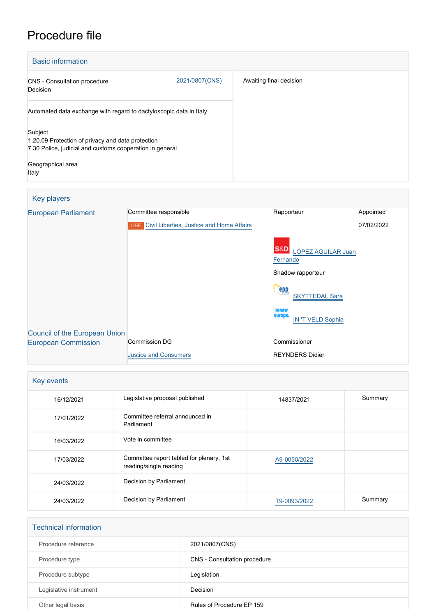# Procedure file

| <b>Basic information</b>                                                                                                                               |                |                         |
|--------------------------------------------------------------------------------------------------------------------------------------------------------|----------------|-------------------------|
| <b>CNS</b> - Consultation procedure<br>Decision                                                                                                        | 2021/0807(CNS) | Awaiting final decision |
| Automated data exchange with regard to dactyloscopic data in Italy                                                                                     |                |                         |
| Subject<br>1.20.09 Protection of privacy and data protection<br>7.30 Police, judicial and customs cooperation in general<br>Geographical area<br>Italy |                |                         |

## Key players [European Parliament](http://www.europarl.europa.eu/) Committee responsible Rapporteur Rapporteur Appointed **LIBE** [Civil Liberties, Justice and Home Affairs](http://www.europarl.europa.eu/committees/en/libe/home.html) S&D [LÓPEZ AGUILAR Juan](http://www.europarl.europa.eu/meps/en/96812) **[Fernando](http://www.europarl.europa.eu/meps/en/96812)** Shadow rapporteur **Cepp** [SKYTTEDAL Sara](http://www.europarl.europa.eu/meps/en/197390) [IN 'T VELD Sophia](http://www.europarl.europa.eu/meps/en/28266) 07/02/2022 [Council of the European Union](http://www.consilium.europa.eu) [European Commission](http://ec.europa.eu/) Commission DG [Justice and Consumers](http://ec.europa.eu/info/departments/justice-and-consumers_en) Commissioner REYNDERS Didier

| Key events |                                                                    |              |         |
|------------|--------------------------------------------------------------------|--------------|---------|
| 16/12/2021 | Legislative proposal published                                     | 14837/2021   | Summary |
| 17/01/2022 | Committee referral announced in<br>Parliament                      |              |         |
| 16/03/2022 | Vote in committee                                                  |              |         |
| 17/03/2022 | Committee report tabled for plenary, 1st<br>reading/single reading | A9-0050/2022 |         |
| 24/03/2022 | Decision by Parliament                                             |              |         |
| 24/03/2022 | Decision by Parliament                                             | T9-0093/2022 | Summary |

| <b>Technical information</b> |                              |
|------------------------------|------------------------------|
| Procedure reference          | 2021/0807(CNS)               |
| Procedure type               | CNS - Consultation procedure |
| Procedure subtype            | Legislation                  |
| Legislative instrument       | Decision                     |
| Other legal basis            | Rules of Procedure EP 159    |